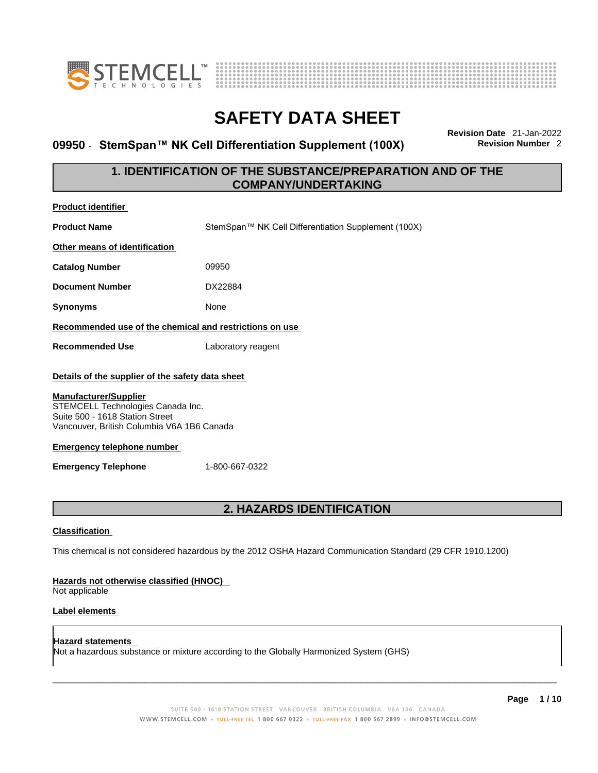



### **09950 · StemSpan™ NK Cell Differentiation Supplement (100X)**

**Revision Date** 21-Jan-2022

### **1. IDENTIFICATION OF THE SUBSTANCE/PREPARATION AND OF THE COMPANY/UNDERTAKING**

| <b>Product identifier</b>                                                                                                                          |                                                                                                             |  |
|----------------------------------------------------------------------------------------------------------------------------------------------------|-------------------------------------------------------------------------------------------------------------|--|
| <b>Product Name</b>                                                                                                                                | StemSpan™ NK Cell Differentiation Supplement (100X)                                                         |  |
| Other means of identification                                                                                                                      |                                                                                                             |  |
| <b>Catalog Number</b>                                                                                                                              | 09950                                                                                                       |  |
| <b>Document Number</b>                                                                                                                             | DX22884                                                                                                     |  |
| <b>Synonyms</b>                                                                                                                                    | None                                                                                                        |  |
| Recommended use of the chemical and restrictions on use                                                                                            |                                                                                                             |  |
| <b>Recommended Use</b>                                                                                                                             | Laboratory reagent                                                                                          |  |
| Details of the supplier of the safety data sheet                                                                                                   |                                                                                                             |  |
| <b>Manufacturer/Supplier</b><br>STEMCELL Technologies Canada Inc.<br>Suite 500 - 1618 Station Street<br>Vancouver, British Columbia V6A 1B6 Canada |                                                                                                             |  |
| <b>Emergency telephone number</b>                                                                                                                  |                                                                                                             |  |
| <b>Emergency Telephone</b>                                                                                                                         | 1-800-667-0322                                                                                              |  |
|                                                                                                                                                    |                                                                                                             |  |
| 2. HAZARDS IDENTIFICATION                                                                                                                          |                                                                                                             |  |
| <b>Classification</b>                                                                                                                              |                                                                                                             |  |
|                                                                                                                                                    | This chemical is not considered hazardous by the 2012 OSHA Hazard Communication Standard (29 CFR 1910.1200) |  |
| Hazards not otherwise classified (HNOC)<br>Not applicable                                                                                          |                                                                                                             |  |
| Label elements                                                                                                                                     |                                                                                                             |  |

**Hazard statements**  Not a hazardous substance or mixture according to the Globally Harmonized System (GHS)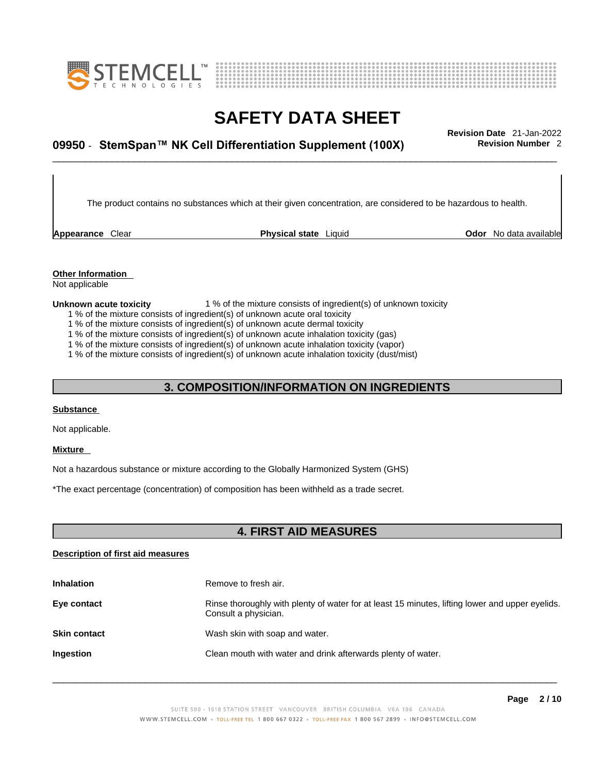



# \_\_\_\_\_\_\_\_\_\_\_\_\_\_\_\_\_\_\_\_\_\_\_\_\_\_\_\_\_\_\_\_\_\_\_\_\_\_\_\_\_\_\_\_\_\_\_\_\_\_\_\_\_\_\_\_\_\_\_\_\_\_\_\_\_\_\_\_\_\_\_\_\_\_\_\_\_\_\_\_\_\_\_\_\_\_\_\_\_\_\_\_\_ **Revision Date** 21-Jan-2022 **09950 · StemSpan™ NK Cell Differentiation Supplement (100X) Revision Number 2**

The product contains no substances which at their given concentration, are considered to be hazardous to health.

**Appearance** Clear **Physical state** Liquid

**Odor** No data available

#### **Other Information**

Not applicable

#### **Unknown acute toxicity** 1 % of the mixture consists of ingredient(s) of unknown toxicity

- 1 % of the mixture consists of ingredient(s) of unknown acute oral toxicity
- 1 % of the mixture consists of ingredient(s) of unknown acute dermal toxicity
- 1 % of the mixture consists of ingredient(s) of unknown acute inhalation toxicity (gas)
- 1 % of the mixture consists of ingredient(s) of unknown acute inhalation toxicity (vapor)

1 % of the mixture consists of ingredient(s) of unknown acute inhalation toxicity (dust/mist)

### **3. COMPOSITION/INFORMATION ON INGREDIENTS**

#### **Substance**

Not applicable.

#### **Mixture**

Not a hazardous substance or mixture according to the Globally Harmonized System (GHS)

\*The exact percentage (concentration) of composition has been withheld as a trade secret.

### **4. FIRST AID MEASURES**

#### **Description of first aid measures**

| <b>Inhalation</b>   | Remove to fresh air.                                                                                                    |
|---------------------|-------------------------------------------------------------------------------------------------------------------------|
| Eye contact         | Rinse thoroughly with plenty of water for at least 15 minutes, lifting lower and upper eyelids.<br>Consult a physician. |
| <b>Skin contact</b> | Wash skin with soap and water.                                                                                          |
| <b>Ingestion</b>    | Clean mouth with water and drink afterwards plenty of water.                                                            |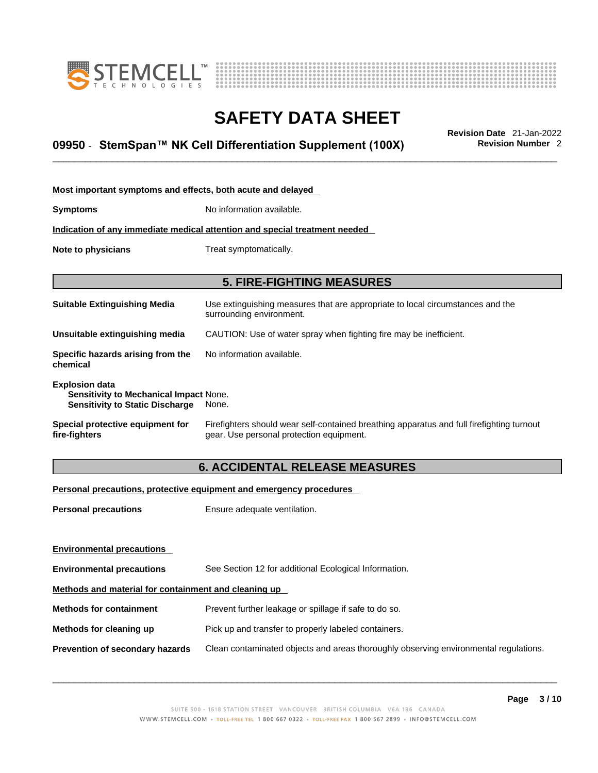



# \_\_\_\_\_\_\_\_\_\_\_\_\_\_\_\_\_\_\_\_\_\_\_\_\_\_\_\_\_\_\_\_\_\_\_\_\_\_\_\_\_\_\_\_\_\_\_\_\_\_\_\_\_\_\_\_\_\_\_\_\_\_\_\_\_\_\_\_\_\_\_\_\_\_\_\_\_\_\_\_\_\_\_\_\_\_\_\_\_\_\_\_\_ **Revision Date** 21-Jan-2022 **09950 · StemSpan™ NK Cell Differentiation Supplement (100X) Revision Number 2**

| Most important symptoms and effects, both acute and delayed                                                      |                                                                                                                                       |
|------------------------------------------------------------------------------------------------------------------|---------------------------------------------------------------------------------------------------------------------------------------|
| <b>Symptoms</b>                                                                                                  | No information available.                                                                                                             |
|                                                                                                                  | Indication of any immediate medical attention and special treatment needed                                                            |
| Note to physicians                                                                                               | Treat symptomatically.                                                                                                                |
|                                                                                                                  |                                                                                                                                       |
|                                                                                                                  | <b>5. FIRE-FIGHTING MEASURES</b>                                                                                                      |
| <b>Suitable Extinguishing Media</b>                                                                              | Use extinguishing measures that are appropriate to local circumstances and the<br>surrounding environment.                            |
| Unsuitable extinguishing media                                                                                   | CAUTION: Use of water spray when fighting fire may be inefficient.                                                                    |
| Specific hazards arising from the<br>chemical                                                                    | No information available.                                                                                                             |
| <b>Explosion data</b><br><b>Sensitivity to Mechanical Impact None.</b><br><b>Sensitivity to Static Discharge</b> | None.                                                                                                                                 |
| Special protective equipment for<br>fire-fighters                                                                | Firefighters should wear self-contained breathing apparatus and full firefighting turnout<br>gear. Use personal protection equipment. |

#### **6. ACCIDENTAL RELEASE MEASURES**

#### **Personal precautions, protective equipment and emergency procedures**

| <b>Personal precautions</b>                          | Ensure adequate ventilation.                                                         |  |
|------------------------------------------------------|--------------------------------------------------------------------------------------|--|
|                                                      |                                                                                      |  |
| <b>Environmental precautions</b>                     |                                                                                      |  |
| <b>Environmental precautions</b>                     | See Section 12 for additional Ecological Information.                                |  |
| Methods and material for containment and cleaning up |                                                                                      |  |
| <b>Methods for containment</b>                       | Prevent further leakage or spillage if safe to do so.                                |  |
| Methods for cleaning up                              | Pick up and transfer to properly labeled containers.                                 |  |
| Prevention of secondary hazards                      | Clean contaminated objects and areas thoroughly observing environmental regulations. |  |
|                                                      |                                                                                      |  |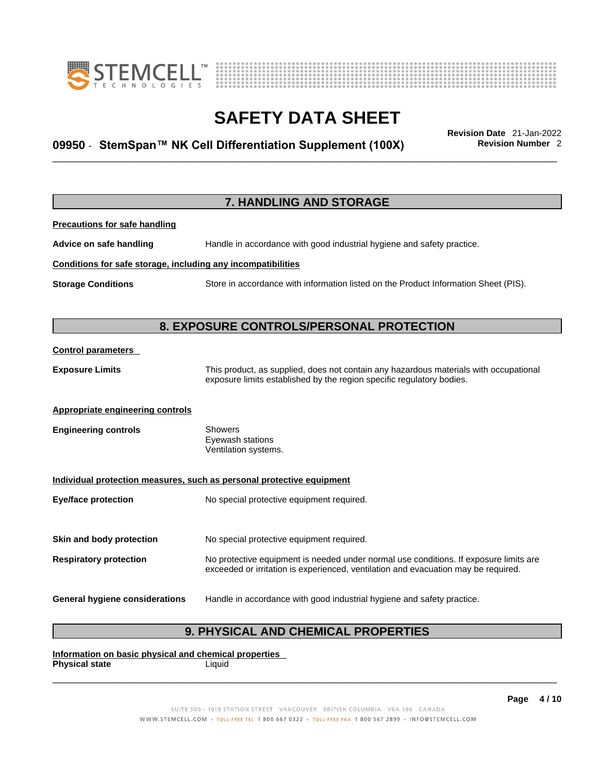



# \_\_\_\_\_\_\_\_\_\_\_\_\_\_\_\_\_\_\_\_\_\_\_\_\_\_\_\_\_\_\_\_\_\_\_\_\_\_\_\_\_\_\_\_\_\_\_\_\_\_\_\_\_\_\_\_\_\_\_\_\_\_\_\_\_\_\_\_\_\_\_\_\_\_\_\_\_\_\_\_\_\_\_\_\_\_\_\_\_\_\_\_\_ **Revision Date** 21-Jan-2022 **09950 · StemSpan™ NK Cell Differentiation Supplement (100X) Revision Number 2**

|                                                              | 7. HANDLING AND STORAGE                                                                                                                                                     |
|--------------------------------------------------------------|-----------------------------------------------------------------------------------------------------------------------------------------------------------------------------|
| <b>Precautions for safe handling</b>                         |                                                                                                                                                                             |
| Advice on safe handling                                      | Handle in accordance with good industrial hygiene and safety practice.                                                                                                      |
| Conditions for safe storage, including any incompatibilities |                                                                                                                                                                             |
| <b>Storage Conditions</b>                                    | Store in accordance with information listed on the Product Information Sheet (PIS).                                                                                         |
|                                                              |                                                                                                                                                                             |
|                                                              | 8. EXPOSURE CONTROLS/PERSONAL PROTECTION                                                                                                                                    |
| <b>Control parameters</b>                                    |                                                                                                                                                                             |
| <b>Exposure Limits</b>                                       | This product, as supplied, does not contain any hazardous materials with occupational<br>exposure limits established by the region specific regulatory bodies.              |
| <b>Appropriate engineering controls</b>                      |                                                                                                                                                                             |
| <b>Engineering controls</b>                                  | Showers<br>Eyewash stations<br>Ventilation systems.                                                                                                                         |
|                                                              | Individual protection measures, such as personal protective equipment                                                                                                       |
| <b>Eye/face protection</b>                                   | No special protective equipment required.                                                                                                                                   |
| Skin and body protection                                     | No special protective equipment required.                                                                                                                                   |
| <b>Respiratory protection</b>                                | No protective equipment is needed under normal use conditions. If exposure limits are<br>exceeded or irritation is experienced, ventilation and evacuation may be required. |
| <b>General hygiene considerations</b>                        | Handle in accordance with good industrial hygiene and safety practice.                                                                                                      |

### **9. PHYSICAL AND CHEMICAL PROPERTIES**

**Information on basic physical and chemical properties Physical state**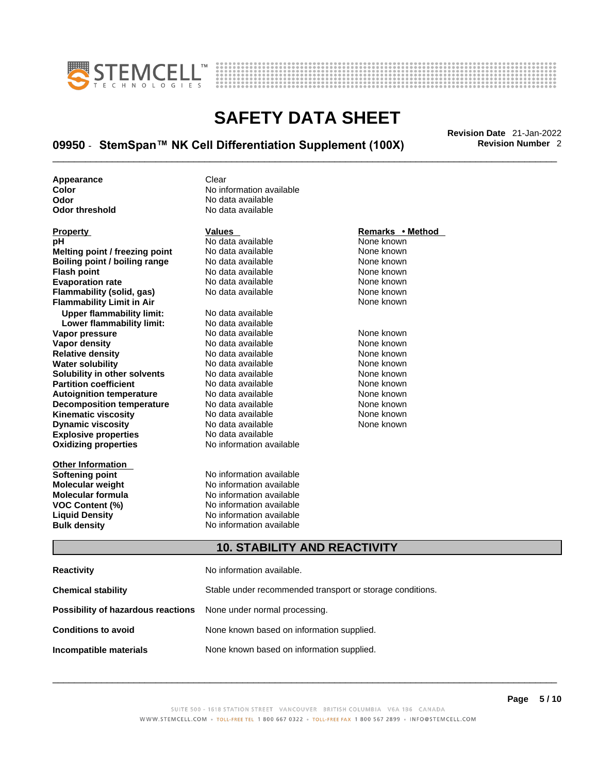



# \_\_\_\_\_\_\_\_\_\_\_\_\_\_\_\_\_\_\_\_\_\_\_\_\_\_\_\_\_\_\_\_\_\_\_\_\_\_\_\_\_\_\_\_\_\_\_\_\_\_\_\_\_\_\_\_\_\_\_\_\_\_\_\_\_\_\_\_\_\_\_\_\_\_\_\_\_\_\_\_\_\_\_\_\_\_\_\_\_\_\_\_\_ **Revision Date** 21-Jan-2022 **09950 · StemSpan™ NK Cell Differentiation Supplement (100X) Revision Number 2**

**Appearance Clear** 

**Explosive properties**<br> **Oxidizing properties**<br> **Oxidizing properties**<br> **No information available Oxidizing properties Property Remarks • Remarks • Remarks • Remarks • Remarks • Remarks • Remarks • Method pH**<br> **No data available** Mome known<br> **No data available** Mome known<br>
None known **Melting point / freezing point** No data available<br> **Boiling point / boiling range** No data available **Boiling point / boiling range** No data available **None known**<br>
No data available **None known**<br>
None known **Evaporation rate Cone Cone Access Mone Cone Cone Cone Access Provident Cone Cone Access Provident Cone known**<br> **Flammability (solid. gas)** No data available Cone Cone Known **Flammability (solid, gas)** No data available None known **Flammability Limit in Air None known None known Upper flammability limit:** No data available **Lower flammability limit:** No data available **Vapor pressure** 1980 in the Modata available 1980 in the known None known<br> **Vapor density** 1980 in the None Known None known None known **Vapor density** No data available None known **Relative density Water solubility** No data available None known **Solubility in other solvents** No data available None known **Partition coefficient**<br> **Autoignition temperature**<br>
No data available None Known<br>
None known **Autoignition temperature** Mo data available Mone known<br> **Decomposition temperature** No data available None known **Decomposition temperature** No data available<br> **Kinematic viscosity** No data available **Kinematic viscosity No data available None known**<br> **Discussible No data available None known**<br>
None known **Dynamic viscosity No data available None known** 

**Other Information** 

**Color Color Color Color Color Color Color No** data available **Odor Odor No data available**<br> **Odor threshold No data available** No data available

**No data available** 

**Softening point**<br> **Molecular weight**<br> **Molecular weight**<br> **Molecular weight**<br> **Molecular weight No information available Molecular formula** No information available **VOC Content (%)**<br> **Content (%)**<br>
No information available<br>
No information available **No information available Bulk density No information available** 

#### **10. STABILITY AND REACTIVITY**

| Reactivity                                                              | No information available.                                 |
|-------------------------------------------------------------------------|-----------------------------------------------------------|
| Chemical stability                                                      | Stable under recommended transport or storage conditions. |
| <b>Possibility of hazardous reactions</b> None under normal processing. |                                                           |
| <b>Conditions to avoid</b>                                              | None known based on information supplied.                 |
| Incompatible materials                                                  | None known based on information supplied.                 |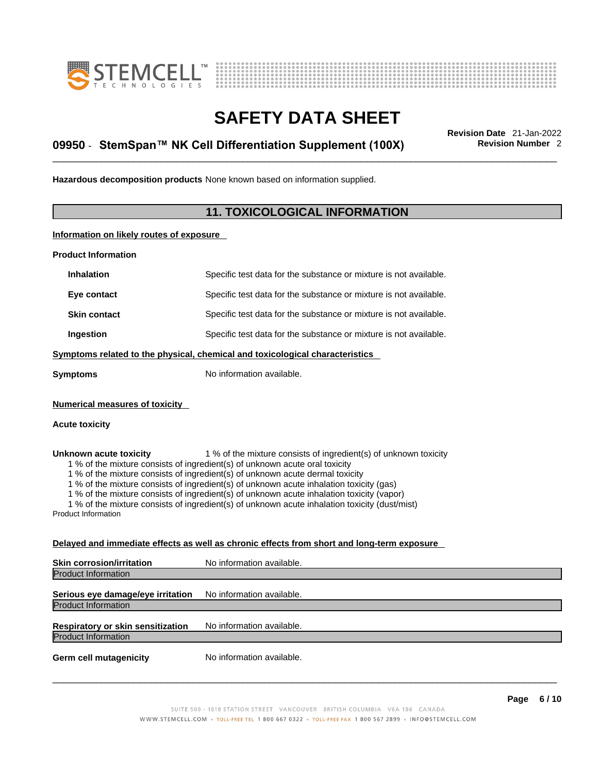



# \_\_\_\_\_\_\_\_\_\_\_\_\_\_\_\_\_\_\_\_\_\_\_\_\_\_\_\_\_\_\_\_\_\_\_\_\_\_\_\_\_\_\_\_\_\_\_\_\_\_\_\_\_\_\_\_\_\_\_\_\_\_\_\_\_\_\_\_\_\_\_\_\_\_\_\_\_\_\_\_\_\_\_\_\_\_\_\_\_\_\_\_\_ **Revision Date** 21-Jan-2022 **09950 · StemSpan™ NK Cell Differentiation Supplement (100X) Revision Number 2**

**Hazardous decomposition products** None known based on information supplied.

#### **11. TOXICOLOGICAL INFORMATION**

**Information on likely routes of exposure**

**Product Information**

| <b>Inhalation</b>                                                            | Specific test data for the substance or mixture is not available. |  |
|------------------------------------------------------------------------------|-------------------------------------------------------------------|--|
| Eye contact                                                                  | Specific test data for the substance or mixture is not available. |  |
| <b>Skin contact</b>                                                          | Specific test data for the substance or mixture is not available. |  |
| Ingestion                                                                    | Specific test data for the substance or mixture is not available. |  |
| Symptoms related to the physical, chemical and toxicological characteristics |                                                                   |  |
| Symptoms                                                                     | No information available.                                         |  |
|                                                                              |                                                                   |  |

**Numerical measures of toxicity**

#### **Acute toxicity**

**Unknown acute toxicity** 1 % of the mixture consists of ingredient(s) of unknown toxicity

1 % of the mixture consists of ingredient(s) of unknown acute oral toxicity

1 % of the mixture consists of ingredient(s) of unknown acute dermal toxicity

1 % of the mixture consists of ingredient(s) of unknown acute inhalation toxicity (gas)

1 % of the mixture consists of ingredient(s) of unknown acute inhalation toxicity (vapor)

1 % of the mixture consists of ingredient(s) of unknown acute inhalation toxicity (dust/mist)

Product Information

#### **Delayed and immediate effects as well as chronic effects from short and long-term exposure**

| <b>Skin corrosion/irritation</b>                                | No information available. |  |
|-----------------------------------------------------------------|---------------------------|--|
| <b>Product Information</b>                                      |                           |  |
| Serious eye damage/eye irritation<br><b>Product Information</b> | No information available. |  |
|                                                                 |                           |  |
| <b>Respiratory or skin sensitization</b>                        | No information available. |  |
| <b>Product Information</b>                                      |                           |  |
| <b>Germ cell mutagenicity</b>                                   | No information available. |  |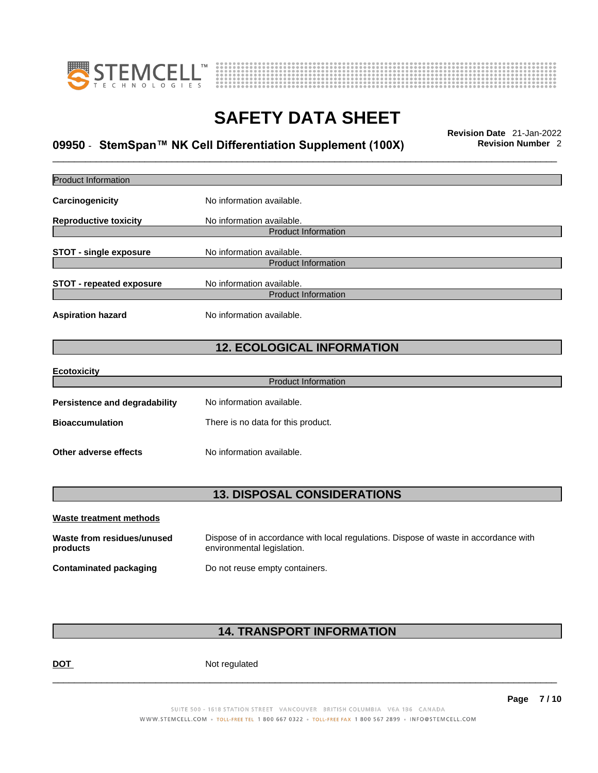



# \_\_\_\_\_\_\_\_\_\_\_\_\_\_\_\_\_\_\_\_\_\_\_\_\_\_\_\_\_\_\_\_\_\_\_\_\_\_\_\_\_\_\_\_\_\_\_\_\_\_\_\_\_\_\_\_\_\_\_\_\_\_\_\_\_\_\_\_\_\_\_\_\_\_\_\_\_\_\_\_\_\_\_\_\_\_\_\_\_\_\_\_\_ **Revision Date** 21-Jan-2022 **09950 · StemSpan™ NK Cell Differentiation Supplement (100X) Revision Number 2**

| <b>Product Information</b>             |                                                                                                                    |
|----------------------------------------|--------------------------------------------------------------------------------------------------------------------|
| Carcinogenicity                        | No information available.                                                                                          |
| <b>Reproductive toxicity</b>           | No information available.                                                                                          |
|                                        | <b>Product Information</b>                                                                                         |
| <b>STOT - single exposure</b>          | No information available.                                                                                          |
|                                        | <b>Product Information</b>                                                                                         |
| <b>STOT - repeated exposure</b>        | No information available.                                                                                          |
|                                        | <b>Product Information</b>                                                                                         |
| <b>Aspiration hazard</b>               | No information available.                                                                                          |
|                                        | <b>12. ECOLOGICAL INFORMATION</b>                                                                                  |
| <b>Ecotoxicity</b>                     |                                                                                                                    |
|                                        | <b>Product Information</b>                                                                                         |
| <b>Persistence and degradability</b>   | No information available.                                                                                          |
| <b>Bioaccumulation</b>                 | There is no data for this product.                                                                                 |
| Other adverse effects                  | No information available.                                                                                          |
|                                        | <b>13. DISPOSAL CONSIDERATIONS</b>                                                                                 |
| <b>Waste treatment methods</b>         |                                                                                                                    |
| Waste from residues/unused<br>products | Dispose of in accordance with local regulations. Dispose of waste in accordance with<br>environmental legislation. |
| <b>Contaminated packaging</b>          | Do not reuse empty containers.                                                                                     |
|                                        |                                                                                                                    |
|                                        |                                                                                                                    |

### **14. TRANSPORT INFORMATION**

DOT Not regulated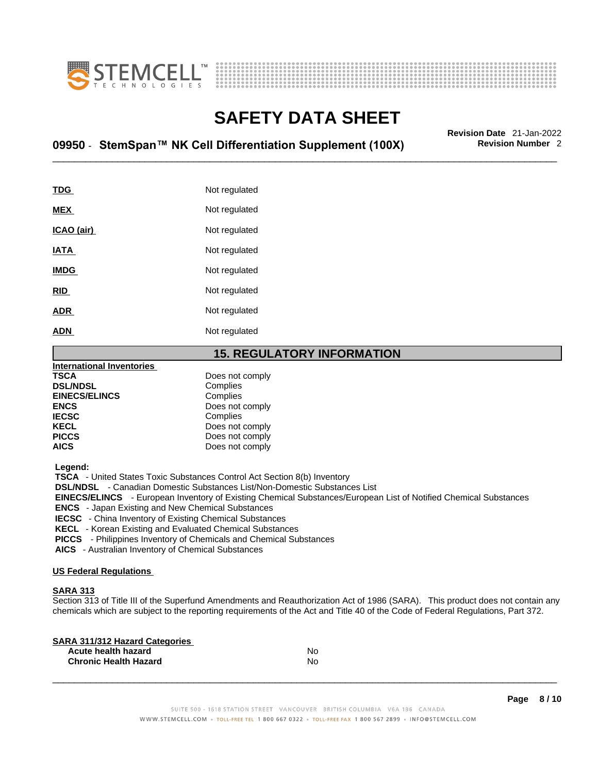



# \_\_\_\_\_\_\_\_\_\_\_\_\_\_\_\_\_\_\_\_\_\_\_\_\_\_\_\_\_\_\_\_\_\_\_\_\_\_\_\_\_\_\_\_\_\_\_\_\_\_\_\_\_\_\_\_\_\_\_\_\_\_\_\_\_\_\_\_\_\_\_\_\_\_\_\_\_\_\_\_\_\_\_\_\_\_\_\_\_\_\_\_\_ **Revision Date** 21-Jan-2022 **09950 · StemSpan™ NK Cell Differentiation Supplement (100X) Revision Number 2**

| <b>TDG</b>  | Not regulated |
|-------------|---------------|
| <b>MEX</b>  | Not regulated |
| ICAO (air)  | Not regulated |
| IATA        | Not regulated |
| <b>IMDG</b> | Not regulated |
| <b>RID</b>  | Not regulated |
| <b>ADR</b>  | Not regulated |
| <b>ADN</b>  | Not regulated |
|             |               |

#### **15. REGULATORY INFORMATION**

| <b>International Inventories</b> |                 |  |
|----------------------------------|-----------------|--|
| <b>TSCA</b>                      | Does not comply |  |
| <b>DSL/NDSL</b>                  | Complies        |  |
| <b>EINECS/ELINCS</b>             | Complies        |  |
| <b>ENCS</b>                      | Does not comply |  |
| <b>IECSC</b>                     | Complies        |  |
| <b>KECL</b>                      | Does not comply |  |
| <b>PICCS</b>                     | Does not comply |  |
| <b>AICS</b>                      | Does not comply |  |
|                                  |                 |  |

 **Legend:** 

 **TSCA** - United States Toxic Substances Control Act Section 8(b) Inventory

 **DSL/NDSL** - Canadian Domestic Substances List/Non-Domestic Substances List

 **EINECS/ELINCS** - European Inventory of Existing Chemical Substances/European List of Notified Chemical Substances

 **ENCS** - Japan Existing and New Chemical Substances

 **IECSC** - China Inventory of Existing Chemical Substances

 **KECL** - Korean Existing and Evaluated Chemical Substances

 **PICCS** - Philippines Inventory of Chemicals and Chemical Substances

 **AICS** - Australian Inventory of Chemical Substances

#### **US Federal Regulations**

#### **SARA 313**

Section 313 of Title III of the Superfund Amendments and Reauthorization Act of 1986 (SARA). This product does not contain any chemicals which are subject to the reporting requirements of the Act and Title 40 of the Code of Federal Regulations, Part 372.

| No |  |
|----|--|
| No |  |
|    |  |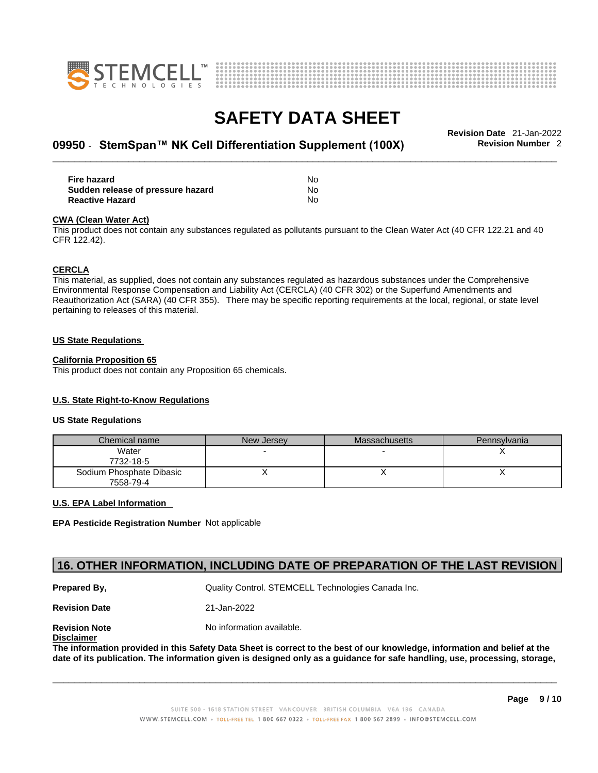



# \_\_\_\_\_\_\_\_\_\_\_\_\_\_\_\_\_\_\_\_\_\_\_\_\_\_\_\_\_\_\_\_\_\_\_\_\_\_\_\_\_\_\_\_\_\_\_\_\_\_\_\_\_\_\_\_\_\_\_\_\_\_\_\_\_\_\_\_\_\_\_\_\_\_\_\_\_\_\_\_\_\_\_\_\_\_\_\_\_\_\_\_\_ **Revision Date** 21-Jan-2022 **09950 · StemSpan™ NK Cell Differentiation Supplement (100X) Revision Number 2**

| Fire hazard                       | No |
|-----------------------------------|----|
| Sudden release of pressure hazard | No |
| <b>Reactive Hazard</b>            | No |

#### **CWA** (Clean Water Act)

This product does not contain any substances regulated as pollutants pursuant to the Clean Water Act (40 CFR 122.21 and 40 CFR 122.42).

#### **CERCLA**

This material, as supplied, does not contain any substances regulated as hazardous substances under the Comprehensive Environmental Response Compensation and Liability Act (CERCLA) (40 CFR 302) or the Superfund Amendments and Reauthorization Act (SARA) (40 CFR 355). There may be specific reporting requirements at the local, regional, or state level pertaining to releases of this material.

#### **US State Regulations**

#### **California Proposition 65**

This product does not contain any Proposition 65 chemicals.

#### **U.S. State Right-to-Know Regulations**

#### **US State Regulations**

| Chemical name                         | New Jersey | Massachusetts | Pennsylvania |
|---------------------------------------|------------|---------------|--------------|
| Water<br>7732-18-5                    |            |               |              |
| Sodium Phosphate Dibasic<br>7558-79-4 |            |               |              |

#### **U.S. EPA Label Information**

**EPA Pesticide Registration Number** Not applicable

### **16. OTHER INFORMATION, INCLUDING DATE OF PREPARATION OF THE LAST REVISION**

**Prepared By, State Control. STEMCELL Technologies Canada Inc.** Cuality Control. STEMCELL Technologies Canada Inc.

**Revision Date** 21-Jan-2022

**Disclaimer**

**Revision Note** Noinformation available.

The information provided in this Safety Data Sheet is correct to the best of our knowledge, information and belief at the date of its publication. The information given is designed only as a guidance for safe handling, use, processing, storage,